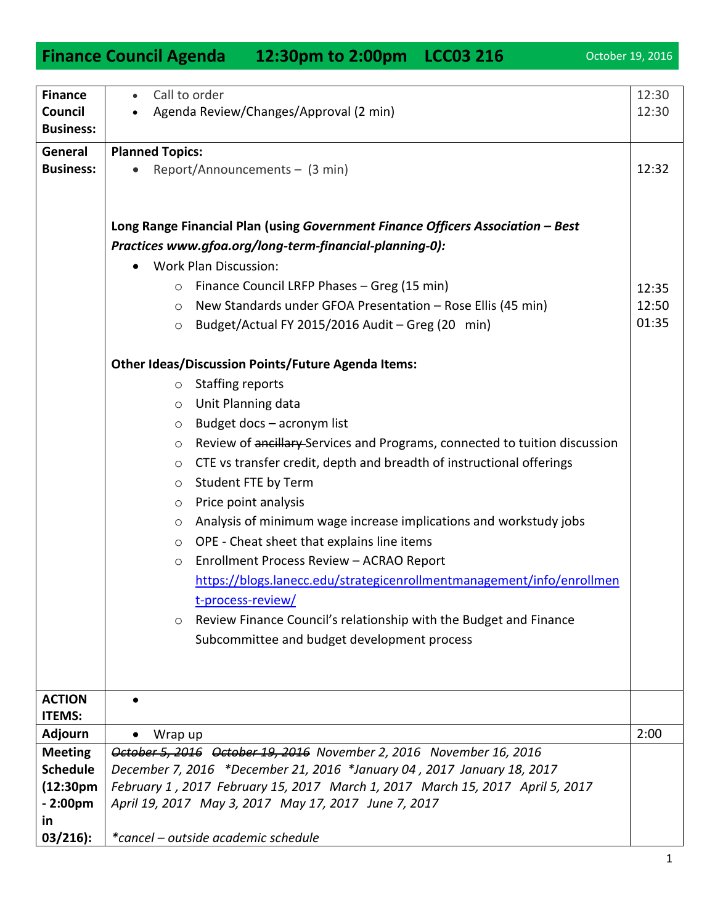## **Finance Council Agenda 12:30pm to 2:00pm LCC03 216** October 19, 2016

Call to order

**Finance**

12:30

| Council<br><b>Business:</b> | • Agenda Review/Changes/Approval (2 min)                                              | 12:30 |
|-----------------------------|---------------------------------------------------------------------------------------|-------|
| General                     | <b>Planned Topics:</b>                                                                |       |
| <b>Business:</b>            | Report/Announcements - (3 min)<br>$\bullet$                                           | 12:32 |
|                             | Long Range Financial Plan (using Government Finance Officers Association - Best       |       |
|                             | Practices www.gfoa.org/long-term-financial-planning-0):                               |       |
|                             | <b>Work Plan Discussion:</b><br>$\bullet$                                             |       |
|                             | Finance Council LRFP Phases - Greg (15 min)<br>$\circ$                                | 12:35 |
|                             | New Standards under GFOA Presentation - Rose Ellis (45 min)<br>$\circ$                | 12:50 |
|                             | Budget/Actual FY 2015/2016 Audit - Greg (20 min)<br>$\circ$                           | 01:35 |
|                             | <b>Other Ideas/Discussion Points/Future Agenda Items:</b>                             |       |
|                             | <b>Staffing reports</b><br>$\circ$                                                    |       |
|                             | Unit Planning data<br>$\circ$                                                         |       |
|                             | Budget docs - acronym list<br>$\circ$                                                 |       |
|                             | Review of ancillary Services and Programs, connected to tuition discussion<br>$\circ$ |       |
|                             | CTE vs transfer credit, depth and breadth of instructional offerings<br>$\circ$       |       |
|                             | Student FTE by Term<br>$\circ$                                                        |       |
|                             | Price point analysis<br>$\circ$                                                       |       |
|                             | Analysis of minimum wage increase implications and workstudy jobs<br>$\circ$          |       |
|                             | OPE - Cheat sheet that explains line items<br>$\circ$                                 |       |
|                             | Enrollment Process Review - ACRAO Report<br>$\circ$                                   |       |
|                             | https://blogs.lanecc.edu/strategicenrollmentmanagement/info/enrollmen                 |       |
|                             | t-process-review/                                                                     |       |
|                             | Review Finance Council's relationship with the Budget and Finance<br>$\circ$          |       |
|                             | Subcommittee and budget development process                                           |       |
|                             |                                                                                       |       |
|                             |                                                                                       |       |
| <b>ACTION</b>               |                                                                                       |       |
| <b>ITEMS:</b>               |                                                                                       |       |
| <b>Adjourn</b>              | Wrap up                                                                               | 2:00  |
| <b>Meeting</b>              | October 5, 2016 October 19, 2016 November 2, 2016 November 16, 2016                   |       |
| <b>Schedule</b>             | December 7, 2016 *December 21, 2016 *January 04, 2017 January 18, 2017                |       |
| (12:30 <sub>pm</sub> )      | February 1, 2017 February 15, 2017 March 1, 2017 March 15, 2017 April 5, 2017         |       |
| $-2:00pm$                   | April 19, 2017 May 3, 2017 May 17, 2017 June 7, 2017                                  |       |
| <u>in</u>                   |                                                                                       |       |
| $03/216$ :                  | *cancel – outside academic schedule                                                   |       |